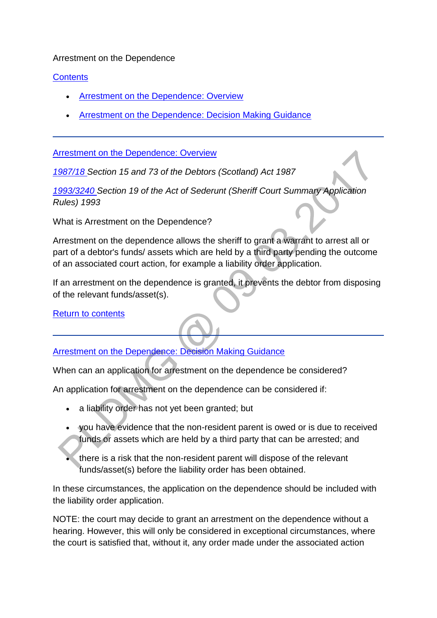## Arrestment on the Dependence

## **[Contents](http://np-cmg-sharepoint.link2.gpn.gov.uk/sites/policy-law-and-decision-making-guidance/Pages/Legal%20Enforcement%20-%20Scotland/Arrestment-on-the-Dependence.aspx?ControlMode=Edit&DisplayMode=Design)**

- [Arrestment on the Dependence: Overview](http://np-cmg-sharepoint.link2.gpn.gov.uk/sites/policy-law-and-decision-making-guidance/Pages/Legal%20Enforcement%20-%20Scotland/Arrestment-on-the-Dependence.aspx#Arrestment%20on%20the%20Dependence%3a%20Overview)
- [Arrestment on the Dependence: Decision Making Guidance](http://np-cmg-sharepoint.link2.gpn.gov.uk/sites/policy-law-and-decision-making-guidance/Pages/Legal%20Enforcement%20-%20Scotland/Arrestment-on-the-Dependence.aspx#Arrestment%20on%20the%20Dependence%3a%20Decision%20Making%20Guidance)

[Arrestment on the Dependence: Overview](http://np-cmg-sharepoint.link2.gpn.gov.uk/sites/policy-law-and-decision-making-guidance/Pages/Legal%20Enforcement%20-%20Scotland/Arrestment-on-the-Dependence.aspx?ControlMode=Edit&DisplayMode=Design)

*[1987/18 S](http://www.legislation.gov.uk/ukpga/1987/18/contents)ection 15 and 73 of the Debtors (Scotland) Act 1987*

*[1993/3240 S](http://www.legislation.gov.uk/uksi/1993/3240/contents/made)ection 19 of the Act of Sederunt (Sheriff Court Summary Application Rules) 1993*

What is Arrestment on the Dependence?

Arrestment on the dependence allows the sheriff to grant a warrant to arrest all or part of a debtor's funds/ assets which are held by a third party pending the outcome of an associated court action, for example a liability order application.

If an arrestment on the dependence is granted, it prevents the debtor from disposing of the relevant funds/asset(s).

[Return to contents](http://np-cmg-sharepoint.link2.gpn.gov.uk/sites/policy-law-and-decision-making-guidance/Pages/Legal%20Enforcement%20-%20Scotland/Arrestment-on-the-Dependence.aspx#Contents)

## [Arrestment on the Dependence: Decision Making Guidance](http://np-cmg-sharepoint.link2.gpn.gov.uk/sites/policy-law-and-decision-making-guidance/Pages/Legal%20Enforcement%20-%20Scotland/Arrestment-on-the-Dependence.aspx?ControlMode=Edit&DisplayMode=Design)

When can an application for arrestment on the dependence be considered?

An application for arrestment on the dependence can be considered if:

- a liability order has not yet been granted; but
- you have evidence that the non-resident parent is owed or is due to received funds or assets which are held by a third party that can be arrested; and
- there is a risk that the non-resident parent will dispose of the relevant funds/asset(s) before the liability order has been obtained.

In these circumstances, the application on the dependence should be included with the liability order application.

NOTE: the court may decide to grant an arrestment on the dependence without a hearing. However, this will only be considered in exceptional circumstances, where the court is satisfied that, without it, any order made under the associated action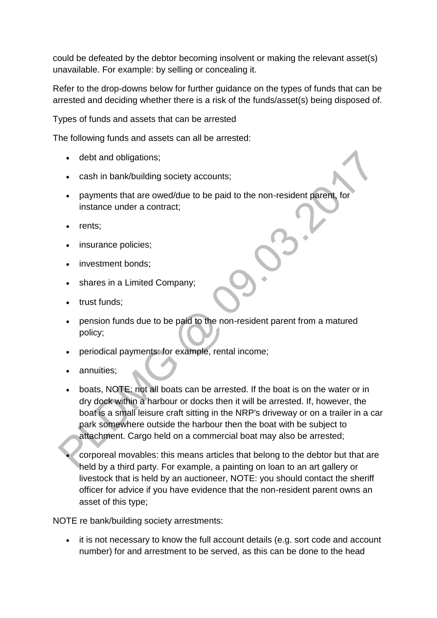could be defeated by the debtor becoming insolvent or making the relevant asset(s) unavailable. For example: by selling or concealing it.

Refer to the drop-downs below for further guidance on the types of funds that can be arrested and deciding whether there is a risk of the funds/asset(s) being disposed of.

Types of funds and assets that can be arrested

The following funds and assets can all be arrested:

- debt and obligations;
- cash in bank/building society accounts;
- payments that are owed/due to be paid to the non-resident parent, for instance under a contract;
- rents;
- insurance policies;
- investment bonds:
- shares in a Limited Company;
- trust funds;
- pension funds due to be paid to the non-resident parent from a matured policy;
- periodical payments: for example, rental income;
- annuities;
- boats, NOTE: not all boats can be arrested. If the boat is on the water or in dry dock within a harbour or docks then it will be arrested. If, however, the boat is a small leisure craft sitting in the NRP's driveway or on a trailer in a car park somewhere outside the harbour then the boat with be subject to attachment. Cargo held on a commercial boat may also be arrested;

 corporeal movables: this means articles that belong to the debtor but that are held by a third party. For example, a painting on loan to an art gallery or livestock that is held by an auctioneer, NOTE: you should contact the sheriff officer for advice if you have evidence that the non-resident parent owns an asset of this type;

NOTE re bank/building society arrestments:

• it is not necessary to know the full account details (e.g. sort code and account number) for and arrestment to be served, as this can be done to the head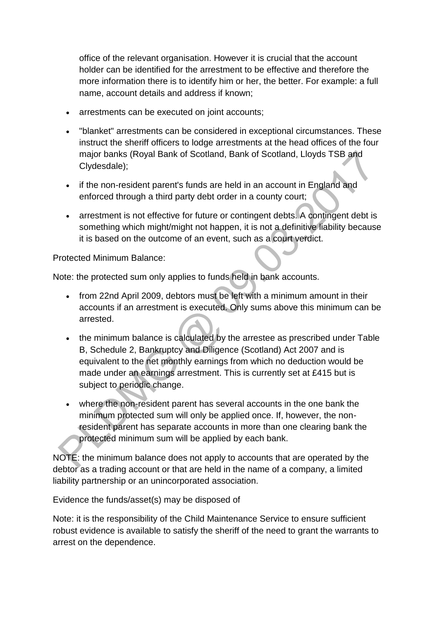office of the relevant organisation. However it is crucial that the account holder can be identified for the arrestment to be effective and therefore the more information there is to identify him or her, the better. For example: a full name, account details and address if known;

- arrestments can be executed on joint accounts;
- "blanket" arrestments can be considered in exceptional circumstances. These instruct the sheriff officers to lodge arrestments at the head offices of the four major banks (Royal Bank of Scotland, Bank of Scotland, Lloyds TSB and Clydesdale);
- if the non-resident parent's funds are held in an account in England and enforced through a third party debt order in a county court;
- arrestment is not effective for future or contingent debts. A contingent debt is something which might/might not happen, it is not a definitive liability because it is based on the outcome of an event, such as a court verdict.

Protected Minimum Balance:

Note: the protected sum only applies to funds held in bank accounts.

- from 22nd April 2009, debtors must be left with a minimum amount in their accounts if an arrestment is executed. Only sums above this minimum can be arrested.
- the minimum balance is calculated by the arrestee as prescribed under Table B, Schedule 2, Bankruptcy and Diligence (Scotland) Act 2007 and is equivalent to the net monthly earnings from which no deduction would be made under an earnings arrestment. This is currently set at £415 but is subject to periodic change.
- where the non-resident parent has several accounts in the one bank the minimum protected sum will only be applied once. If, however, the nonresident parent has separate accounts in more than one clearing bank the protected minimum sum will be applied by each bank.

NOTE: the minimum balance does not apply to accounts that are operated by the debtor as a trading account or that are held in the name of a company, a limited liability partnership or an unincorporated association.

Evidence the funds/asset(s) may be disposed of

Note: it is the responsibility of the Child Maintenance Service to ensure sufficient robust evidence is available to satisfy the sheriff of the need to grant the warrants to arrest on the dependence.